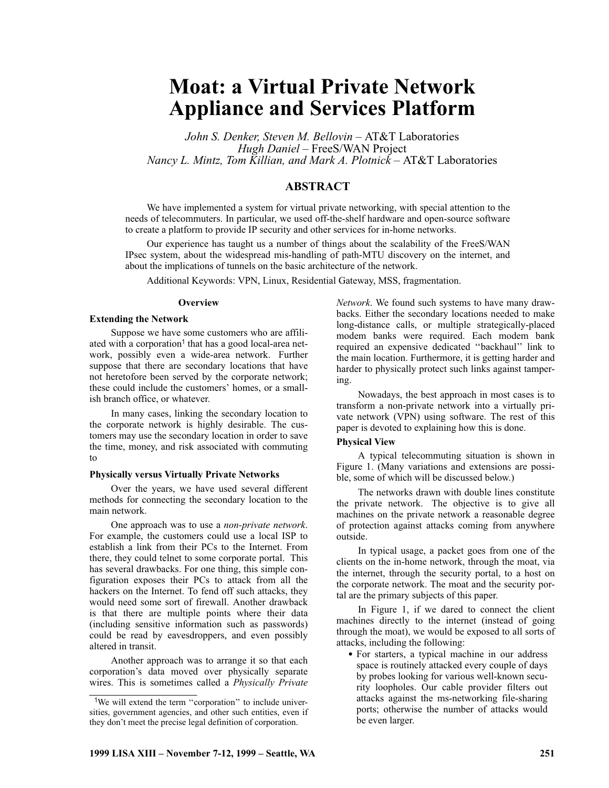# **Moat: a Virtual Private Network Appliance and Services Platform**

*John S. Denker, Steven M. Bellovin* – AT&T Laboratories *Hugh Daniel* – FreeS/WAN Project *Nancy L. Mintz, Tom Killian, and Mark A. Plotnick* – AT&T Laboratories

# **ABSTRACT**

We have implemented a system for virtual private networking, with special attention to the needs of telecommuters. In particular, we used off-the-shelf hardware and open-source software to create a platform to provide IP security and other services for in-home networks.

Our experience has taught us a number of things about the scalability of the FreeS/WAN IPsec system, about the widespread mis-handling of path-MTU discovery on the internet, and about the implications of tunnels on the basic architecture of the network.

Additional Keywords: VPN, Linux, Residential Gateway, MSS, fragmentation.

#### **Overview**

#### **Extending the Network**

Suppose we have some customers who are affiliated with a corporation<sup>1</sup> that has a good local-area network, possibly even a wide-area network. Further suppose that there are secondary locations that have not heretofore been served by the corporate network; these could include the customers' homes, or a smallish branch office, or whatever.

In many cases, linking the secondary location to the corporate network is highly desirable. The customers may use the secondary location in order to save the time, money, and risk associated with commuting to

#### **Physically versus Virtually Private Networks**

Over the years, we have used several different methods for connecting the secondary location to the main network.

One approach was to use a *non-private network*. For example, the customers could use a local ISP to establish a link from their PCs to the Internet. From there, they could telnet to some corporate portal. This has several drawbacks. For one thing, this simple configuration exposes their PCs to attack from all the hackers on the Internet. To fend off such attacks, they would need some sort of firewall. Another drawback is that there are multiple points where their data (including sensitive information such as passwords) could be read by eavesdroppers, and even possibly altered in transit.

Another approach was to arrange it so that each corporation's data moved over physically separate wires. This is sometimes called a *Physically Private* *Network*. We found such systems to have many drawbacks. Either the secondary locations needed to make long-distance calls, or multiple strategically-placed modem banks were required. Each modem bank required an expensive dedicated ''backhaul'' link to the main location. Furthermore, it is getting harder and harder to physically protect such links against tampering.

Nowadays, the best approach in most cases is to transform a non-private network into a virtually private network (VPN) using software. The rest of this paper is devoted to explaining how this is done.

## **Physical View**

A typical telecommuting situation is shown in Figure 1. (Many variations and extensions are possible, some of which will be discussed below.)

The networks drawn with double lines constitute the private network. The objective is to give all machines on the private network a reasonable degree of protection against attacks coming from anywhere outside.

In typical usage, a packet goes from one of the clients on the in-home network, through the moat, via the internet, through the security portal, to a host on the corporate network. The moat and the security portal are the primary subjects of this paper.

In Figure 1, if we dared to connect the client machines directly to the internet (instead of going through the moat), we would be exposed to all sorts of attacks, including the following:

• For starters, a typical machine in our address space is routinely attacked every couple of days by probes looking for various well-known security loopholes. Our cable provider filters out attacks against the ms-networking file-sharing ports; otherwise the number of attacks would be even larger.

<sup>&</sup>lt;sup>1</sup>We will extend the term "corporation" to include universities, government agencies, and other such entities, even if they don't meet the precise legal definition of corporation.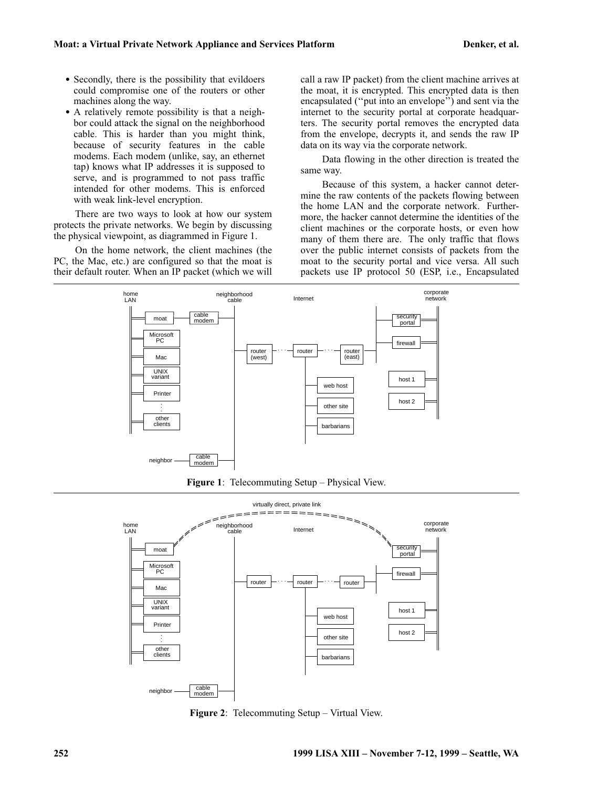- Secondly, there is the possibility that evildoers could compromise one of the routers or other machines along the way.
- A relatively remote possibility is that a neighbor could attack the signal on the neighborhood cable. This is harder than you might think, because of security features in the cable modems. Each modem (unlike, say, an ethernet tap) knows what IP addresses it is supposed to serve, and is programmed to not pass traffic intended for other modems. This is enforced with weak link-level encryption.

There are two ways to look at how our system protects the private networks. We begin by discussing the physical viewpoint, as diagrammed in Figure 1.

On the home network, the client machines (the PC, the Mac, etc.) are configured so that the moat is their default router. When an IP packet (which we will call a raw IP packet) from the client machine arrives at the moat, it is encrypted. This encrypted data is then encapsulated (''put into an envelope'') and sent via the internet to the security portal at corporate headquarters. The security portal removes the encrypted data from the envelope, decrypts it, and sends the raw IP data on its way via the corporate network.

Data flowing in the other direction is treated the same way.

Because of this system, a hacker cannot determine the raw contents of the packets flowing between the home LAN and the corporate network. Furthermore, the hacker cannot determine the identities of the client machines or the corporate hosts, or even how many of them there are. The only traffic that flows over the public internet consists of packets from the moat to the security portal and vice versa. All such packets use IP protocol 50 (ESP, i.e., Encapsulated







**Figure 2**: Telecommuting Setup – Virtual View.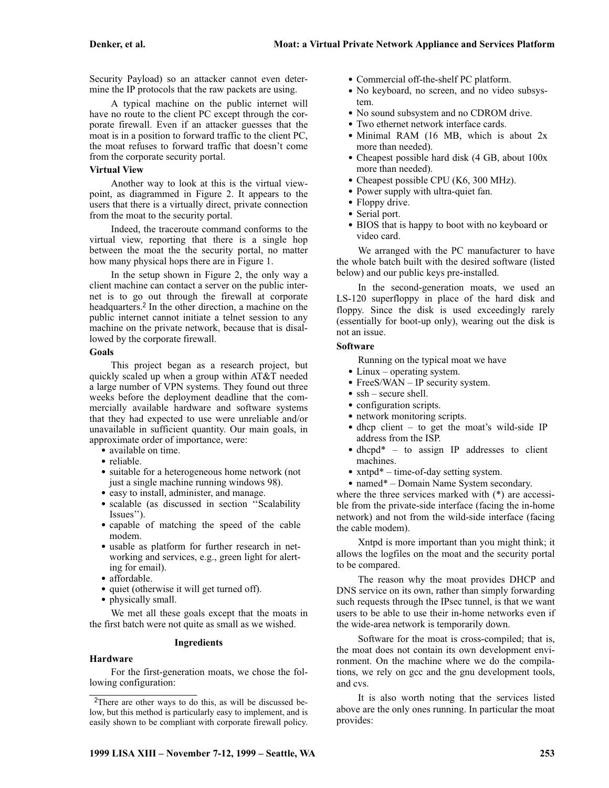Security Payload) so an attacker cannot even determine the IP protocols that the raw packets are using.

A typical machine on the public internet will have no route to the client PC except through the corporate firewall. Even if an attacker guesses that the moat is in a position to forward traffic to the client PC, the moat refuses to forward traffic that doesn't come from the corporate security portal.

## **Virtual View**

Another way to look at this is the virtual viewpoint, as diagrammed in Figure 2. It appears to the users that there is a virtually direct, private connection from the moat to the security portal.

Indeed, the traceroute command conforms to the virtual view, reporting that there is a single hop between the moat the the security portal, no matter how many physical hops there are in Figure 1.

In the setup shown in Figure 2, the only way a client machine can contact a server on the public internet is to go out through the firewall at corporate headquarters.<sup>2</sup> In the other direction, a machine on the public internet cannot initiate a telnet session to any machine on the private network, because that is disallowed by the corporate firewall.

#### **Goals**

This project began as a research project, but quickly scaled up when a group within AT&T needed a large number of VPN systems. They found out three weeks before the deployment deadline that the commercially available hardware and software systems that they had expected to use were unreliable and/or unavailable in sufficient quantity. Our main goals, in approximate order of importance, were:

- available on time.
- reliable.
- suitable for a heterogeneous home network (not just a single machine running windows 98).
- easy to install, administer, and manage.
- scalable (as discussed in section ''Scalability Issues'').
- capable of matching the speed of the cable modem.
- usable as platform for further research in networking and services, e.g., green light for alerting for email).
- affordable.
- quiet (otherwise it will get turned off).
- physically small.

We met all these goals except that the moats in the first batch were not quite as small as we wished.

#### **Ingredients**

#### **Hardware**

For the first-generation moats, we chose the following configuration:

- Commercial off-the-shelf PC platform.
- No keyboard, no screen, and no video subsystem.
- No sound subsystem and no CDROM drive.
- Two ethernet network interface cards.
- Minimal RAM (16 MB, which is about 2x more than needed).
- Cheapest possible hard disk (4 GB, about 100x more than needed).
- Cheapest possible CPU (K6, 300 MHz).
- Power supply with ultra-quiet fan.
- Floppy drive.
- Serial port.
- BIOS that is happy to boot with no keyboard or video card.

We arranged with the PC manufacturer to have the whole batch built with the desired software (listed below) and our public keys pre-installed.

In the second-generation moats, we used an LS-120 superfloppy in place of the hard disk and floppy. Since the disk is used exceedingly rarely (essentially for boot-up only), wearing out the disk is not an issue.

## **Software**

Running on the typical moat we have

- Linux operating system.
- FreeS/WAN IP security system.
- ssh secure shell.
- configuration scripts.
- network monitoring scripts.
- dhcp client to get the moat's wild-side IP address from the ISP.
- dhcpd $*$  to assign IP addresses to client machines.
- xntpd\* time-of-day setting system.
- named\* Domain Name System secondary.

where the three services marked with (\*) are accessible from the private-side interface (facing the in-home network) and not from the wild-side interface (facing the cable modem).

Xntpd is more important than you might think; it allows the logfiles on the moat and the security portal to be compared.

The reason why the moat provides DHCP and DNS service on its own, rather than simply forwarding such requests through the IPsec tunnel, is that we want users to be able to use their in-home networks even if the wide-area network is temporarily down.

Software for the moat is cross-compiled; that is, the moat does not contain its own development environment. On the machine where we do the compilations, we rely on gcc and the gnu development tools, and cvs.

It is also worth noting that the services listed above are the only ones running. In particular the moat provides:

<sup>2</sup>There are other ways to do this, as will be discussed below, but this method is particularly easy to implement, and is easily shown to be compliant with corporate firewall policy.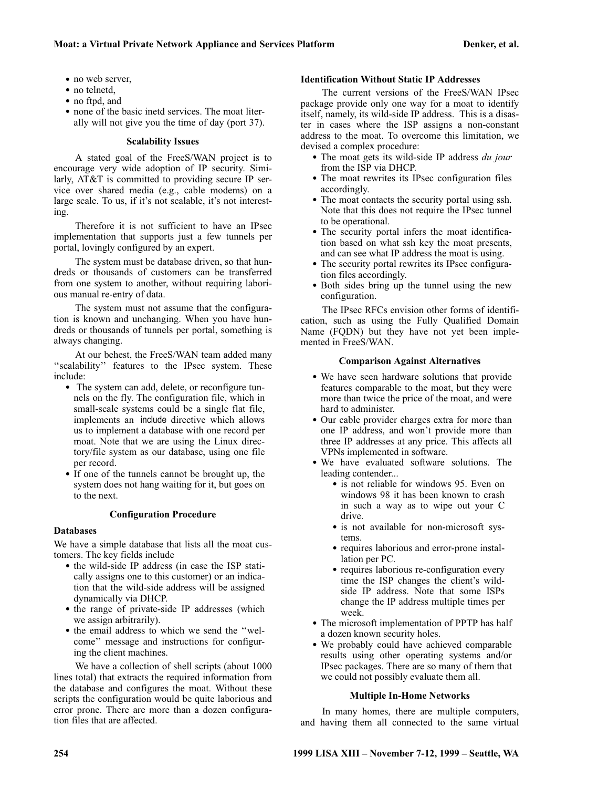- no web server,
- no telnetd.
- no ftpd, and
- none of the basic inetd services. The moat literally will not give you the time of day (port 37).

## **Scalability Issues**

A stated goal of the FreeS/WAN project is to encourage very wide adoption of IP security. Similarly, AT&T is committed to providing secure IP service over shared media (e.g., cable modems) on a large scale. To us, if it's not scalable, it's not interesting.

Therefore it is not sufficient to have an IPsec implementation that supports just a few tunnels per portal, lovingly configured by an expert.

The system must be database driven, so that hundreds or thousands of customers can be transferred from one system to another, without requiring laborious manual re-entry of data.

The system must not assume that the configuration is known and unchanging. When you have hundreds or thousands of tunnels per portal, something is always changing.

At our behest, the FreeS/WAN team added many "scalability" features to the IPsec system. These include:

- The system can add, delete, or reconfigure tunnels on the fly. The configuration file, which in small-scale systems could be a single flat file, implements an include directive which allows us to implement a database with one record per moat. Note that we are using the Linux directory/file system as our database, using one file per record.
- If one of the tunnels cannot be brought up, the system does not hang waiting for it, but goes on to the next.

# **Configuration Procedure**

## **Databases**

We have a simple database that lists all the moat customers. The key fields include

- the wild-side IP address (in case the ISP statically assigns one to this customer) or an indication that the wild-side address will be assigned dynamically via DHCP.
- the range of private-side IP addresses (which we assign arbitrarily).
- the email address to which we send the ''welcome'' message and instructions for configuring the client machines.

We have a collection of shell scripts (about 1000 lines total) that extracts the required information from the database and configures the moat. Without these scripts the configuration would be quite laborious and error prone. There are more than a dozen configuration files that are affected.

## **Identification Without Static IP Addresses**

The current versions of the FreeS/WAN IPsec package provide only one way for a moat to identify itself, namely, its wild-side IP address. This is a disaster in cases where the ISP assigns a non-constant address to the moat. To overcome this limitation, we devised a complex procedure:

- The moat gets its wild-side IP address *du jour* from the ISP via DHCP.
- The moat rewrites its IPsec configuration files accordingly.
- The moat contacts the security portal using ssh. Note that this does not require the IPsec tunnel to be operational.
- The security portal infers the moat identification based on what ssh key the moat presents, and can see what IP address the moat is using.
- The security portal rewrites its IPsec configuration files accordingly.
- Both sides bring up the tunnel using the new configuration.

The IPsec RFCs envision other forms of identification, such as using the Fully Qualified Domain Name (FQDN) but they have not yet been implemented in FreeS/WAN.

## **Comparison Against Alternatives**

- We have seen hardware solutions that provide features comparable to the moat, but they were more than twice the price of the moat, and were hard to administer.
- Our cable provider charges extra for more than one IP address, and won't provide more than three IP addresses at any price. This affects all VPNs implemented in software.
- We have evaluated software solutions. The leading contender...
	- is not reliable for windows 95. Even on windows 98 it has been known to crash in such a way as to wipe out your C drive.
	- is not available for non-microsoft systems.
	- requires laborious and error-prone installation per PC.
	- requires laborious re-configuration every time the ISP changes the client's wildside IP address. Note that some ISPs change the IP address multiple times per week.
- The microsoft implementation of PPTP has half a dozen known security holes.
- We probably could have achieved comparable results using other operating systems and/or IPsec packages. There are so many of them that we could not possibly evaluate them all.

## **Multiple In-Home Networks**

In many homes, there are multiple computers, and having them all connected to the same virtual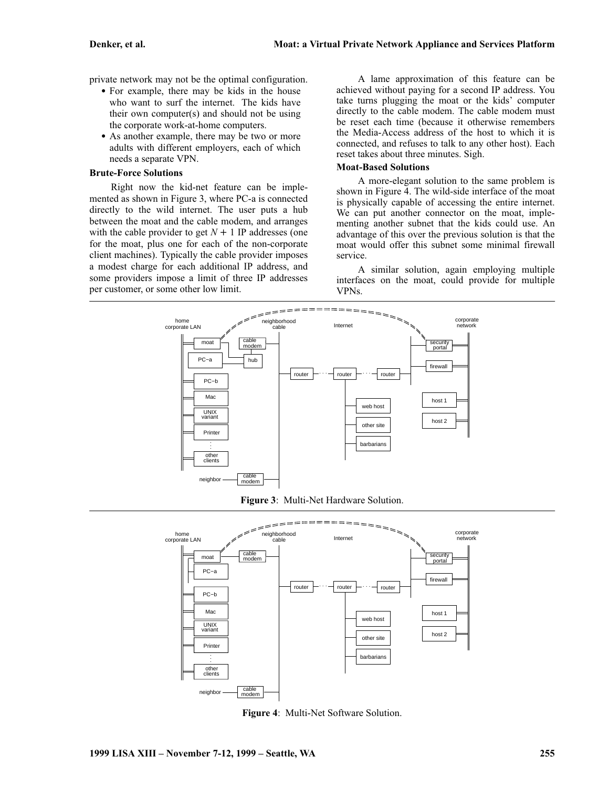private network may not be the optimal configuration.

- For example, there may be kids in the house who want to surf the internet. The kids have their own computer(s) and should not be using the corporate work-at-home computers.
- As another example, there may be two or more adults with different employers, each of which needs a separate VPN.

### **Brute-Force Solutions**

Right now the kid-net feature can be implemented as shown in Figure 3, where PC-a is connected directly to the wild internet. The user puts a hub between the moat and the cable modem, and arranges with the cable provider to get  $N + 1$  IP addresses (one for the moat, plus one for each of the non-corporate client machines). Typically the cable provider imposes a modest charge for each additional IP address, and some providers impose a limit of three IP addresses per customer, or some other low limit.

A lame approximation of this feature can be achieved without paying for a second IP address. You take turns plugging the moat or the kids' computer directly to the cable modem. The cable modem must be reset each time (because it otherwise remembers the Media-Access address of the host to which it is connected, and refuses to talk to any other host). Each reset takes about three minutes. Sigh.

## **Moat-Based Solutions**

A more-elegant solution to the same problem is shown in Figure 4. The wild-side interface of the moat is physically capable of accessing the entire internet. We can put another connector on the moat, implementing another subnet that the kids could use. An advantage of this over the previous solution is that the moat would offer this subnet some minimal firewall service.

A similar solution, again employing multiple interfaces on the moat, could provide for multiple VPNs.







**Figure 4**: Multi-Net Software Solution.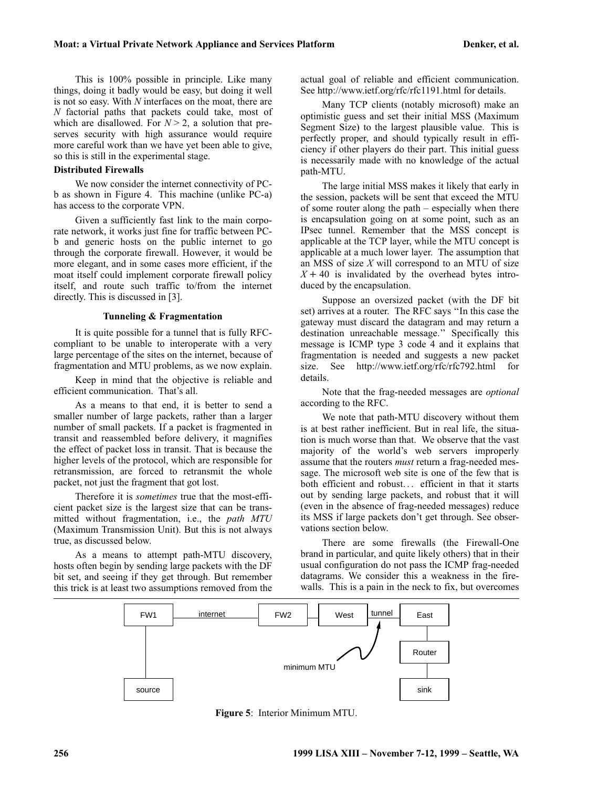This is 100% possible in principle. Like many things, doing it badly would be easy, but doing it well is not so easy. With *N* interfaces on the moat, there are *N* factorial paths that packets could take, most of which are disallowed. For  $N > 2$ , a solution that preserves security with high assurance would require more careful work than we have yet been able to give, so this is still in the experimental stage.

## **Distributed Firewalls**

We now consider the internet connectivity of PCb as shown in Figure 4. This machine (unlike PC-a) has access to the corporate VPN.

Given a sufficiently fast link to the main corporate network, it works just fine for traffic between PCb and generic hosts on the public internet to go through the corporate firewall. However, it would be more elegant, and in some cases more efficient, if the moat itself could implement corporate firewall policy itself, and route such traffic to/from the internet directly. This is discussed in [3].

#### **Tunneling & Fragmentation**

It is quite possible for a tunnel that is fully RFCcompliant to be unable to interoperate with a very large percentage of the sites on the internet, because of fragmentation and MTU problems, as we now explain.

Keep in mind that the objective is reliable and efficient communication. That's all.

As a means to that end, it is better to send a smaller number of large packets, rather than a larger number of small packets. If a packet is fragmented in transit and reassembled before delivery, it magnifies the effect of packet loss in transit. That is because the higher levels of the protocol, which are responsible for retransmission, are forced to retransmit the whole packet, not just the fragment that got lost.

Therefore it is *sometimes* true that the most-efficient packet size is the largest size that can be transmitted without fragmentation, i.e., the *path MTU* (Maximum Transmission Unit). But this is not always true, as discussed below.

As a means to attempt path-MTU discovery, hosts often begin by sending large packets with the DF bit set, and seeing if they get through. But remember this trick is at least two assumptions removed from the

actual goal of reliable and efficient communication. See http://www.ietf.org/rfc/rfc1191.html for details.

Many TCP clients (notably microsoft) make an optimistic guess and set their initial MSS (Maximum Segment Size) to the largest plausible value. This is perfectly proper, and should typically result in efficiency if other players do their part. This initial guess is necessarily made with no knowledge of the actual path-MTU.

The large initial MSS makes it likely that early in the session, packets will be sent that exceed the MTU of some router along the path – especially when there is encapsulation going on at some point, such as an IPsec tunnel. Remember that the MSS concept is applicable at the TCP layer, while the MTU concept is applicable at a much lower layer. The assumption that an MSS of size *X* will correspond to an MTU of size  $X + 40$  is invalidated by the overhead bytes introduced by the encapsulation.

Suppose an oversized packet (with the DF bit set) arrives at a router. The RFC says ''In this case the gateway must discard the datagram and may return a destination unreachable message.'' Specifically this message is ICMP type 3 code 4 and it explains that fragmentation is needed and suggests a new packet size. See http://www.ietf.org/rfc/rfc792.html for details.

Note that the frag-needed messages are *optional* according to the RFC.

We note that path-MTU discovery without them is at best rather inefficient. But in real life, the situation is much worse than that. We observe that the vast majority of the world's web servers improperly assume that the routers *must* return a frag-needed message. The microsoft web site is one of the few that is both efficient and robust... efficient in that it starts out by sending large packets, and robust that it will (even in the absence of frag-needed messages) reduce its MSS if large packets don't get through. See observations section below.

There are some firewalls (the Firewall-One brand in particular, and quite likely others) that in their usual configuration do not pass the ICMP frag-needed datagrams. We consider this a weakness in the firewalls. This is a pain in the neck to fix, but overcomes



**Figure 5**: Interior Minimum MTU.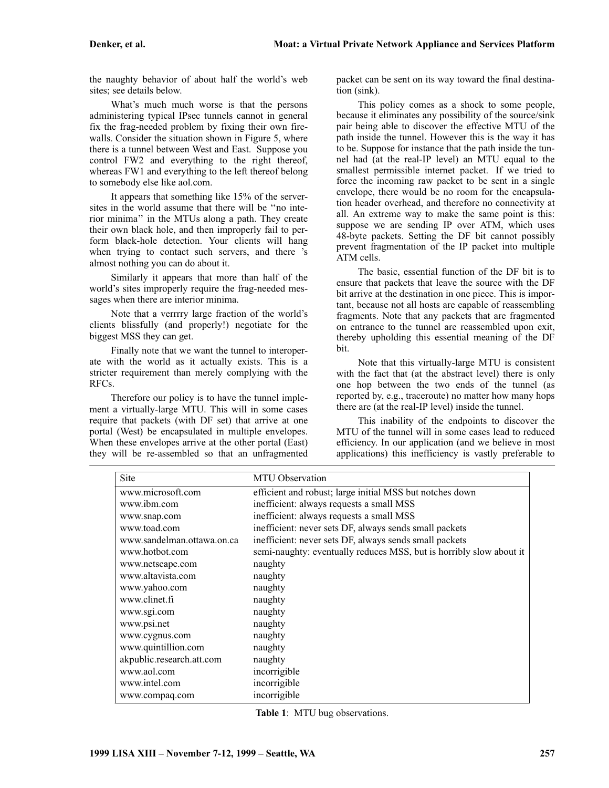the naughty behavior of about half the world's web sites; see details below.

What's much much worse is that the persons administering typical IPsec tunnels cannot in general fix the frag-needed problem by fixing their own firewalls. Consider the situation shown in Figure 5, where there is a tunnel between West and East. Suppose you control FW2 and everything to the right thereof, whereas FW1 and everything to the left thereof belong to somebody else like aol.com.

It appears that something like 15% of the serversites in the world assume that there will be ''no interior minima'' in the MTUs along a path. They create their own black hole, and then improperly fail to perform black-hole detection. Your clients will hang when trying to contact such servers, and there 's almost nothing you can do about it.

Similarly it appears that more than half of the world's sites improperly require the frag-needed messages when there are interior minima.

Note that a verrrry large fraction of the world's clients blissfully (and properly!) negotiate for the biggest MSS they can get.

Finally note that we want the tunnel to interoperate with the world as it actually exists. This is a stricter requirement than merely complying with the RFCs.

Therefore our policy is to have the tunnel implement a virtually-large MTU. This will in some cases require that packets (with DF set) that arrive at one portal (West) be encapsulated in multiple envelopes. When these envelopes arrive at the other portal (East) they will be re-assembled so that an unfragmented

packet can be sent on its way toward the final destination (sink).

This policy comes as a shock to some people, because it eliminates any possibility of the source/sink pair being able to discover the effective MTU of the path inside the tunnel. However this is the way it has to be. Suppose for instance that the path inside the tunnel had (at the real-IP level) an MTU equal to the smallest permissible internet packet. If we tried to force the incoming raw packet to be sent in a single envelope, there would be no room for the encapsulation header overhead, and therefore no connectivity at all. An extreme way to make the same point is this: suppose we are sending IP over ATM, which uses 48-byte packets. Setting the DF bit cannot possibly prevent fragmentation of the IP packet into multiple ATM cells.

The basic, essential function of the DF bit is to ensure that packets that leave the source with the DF bit arrive at the destination in one piece. This is important, because not all hosts are capable of reassembling fragments. Note that any packets that are fragmented on entrance to the tunnel are reassembled upon exit, thereby upholding this essential meaning of the DF bit.

Note that this virtually-large MTU is consistent with the fact that (at the abstract level) there is only one hop between the two ends of the tunnel (as reported by, e.g., traceroute) no matter how many hops there are (at the real-IP level) inside the tunnel.

This inability of the endpoints to discover the MTU of the tunnel will in some cases lead to reduced efficiency. In our application (and we believe in most applications) this inefficiency is vastly preferable to

| Site                       | <b>MTU Observation</b>                                              |
|----------------------------|---------------------------------------------------------------------|
| www.microsoft.com          | efficient and robust; large initial MSS but notches down            |
| www.ibm.com                | inefficient: always requests a small MSS                            |
| www.snap.com               | inefficient: always requests a small MSS                            |
| www.toad.com               | inefficient: never sets DF, always sends small packets              |
| www.sandelman.ottawa.on.ca | inefficient: never sets DF, always sends small packets              |
| www.hotbot.com             | semi-naughty: eventually reduces MSS, but is horribly slow about it |
| www.netscape.com           | naughty                                                             |
| www.altavista.com          | naughty                                                             |
| www.yahoo.com              | naughty                                                             |
| www.clinet.fi              | naughty                                                             |
| www.sgi.com                | naughty                                                             |
| www.psi.net                | naughty                                                             |
| www.cygnus.com             | naughty                                                             |
| www.quintillion.com        | naughty                                                             |
| akpublic.research.att.com  | naughty                                                             |
| www.aol.com                | incorrigible                                                        |
| www.intel.com              | incorrigible                                                        |
| www.compaq.com             | incorrigible                                                        |

**Table 1**: MTU bug observations.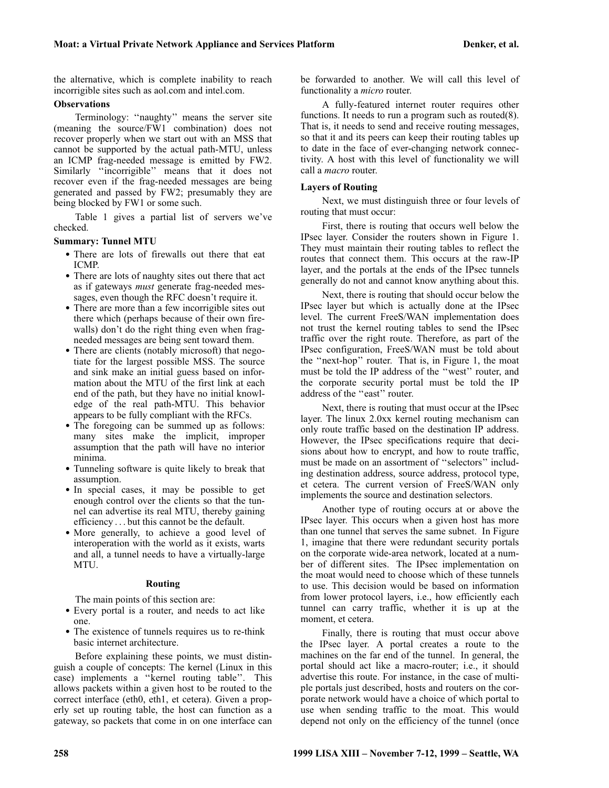the alternative, which is complete inability to reach incorrigible sites such as aol.com and intel.com.

## **Observations**

Terminology: ''naughty'' means the server site (meaning the source/FW1 combination) does not recover properly when we start out with an MSS that cannot be supported by the actual path-MTU, unless an ICMP frag-needed message is emitted by FW2. Similarly ''incorrigible'' means that it does not recover even if the frag-needed messages are being generated and passed by FW2; presumably they are being blocked by FW1 or some such.

Table 1 gives a partial list of servers we've checked.

## **Summary: Tunnel MTU**

- There are lots of firewalls out there that eat ICMP.
- There are lots of naughty sites out there that act as if gateways *must* generate frag-needed messages, even though the RFC doesn't require it.
- There are more than a few incorrigible sites out there which (perhaps because of their own firewalls) don't do the right thing even when fragneeded messages are being sent toward them.
- There are clients (notably microsoft) that negotiate for the largest possible MSS. The source and sink make an initial guess based on information about the MTU of the first link at each end of the path, but they have no initial knowledge of the real path-MTU. This behavior appears to be fully compliant with the RFCs.
- The foregoing can be summed up as follows: many sites make the implicit, improper assumption that the path will have no interior minima.
- Tunneling software is quite likely to break that assumption.
- In special cases, it may be possible to get enough control over the clients so that the tunnel can advertise its real MTU, thereby gaining efficiency . . . but this cannot be the default.
- More generally, to achieve a good level of interoperation with the world as it exists, warts and all, a tunnel needs to have a virtually-large MTU.

#### **Routing**

The main points of this section are:

- Every portal is a router, and needs to act like one.
- The existence of tunnels requires us to re-think basic internet architecture.

Before explaining these points, we must distinguish a couple of concepts: The kernel (Linux in this case) implements a ''kernel routing table''. This allows packets within a given host to be routed to the correct interface (eth0, eth1, et cetera). Given a properly set up routing table, the host can function as a gateway, so packets that come in on one interface can be forwarded to another. We will call this level of functionality a *micro* router.

A fully-featured internet router requires other functions. It needs to run a program such as routed(8). That is, it needs to send and receive routing messages, so that it and its peers can keep their routing tables up to date in the face of ever-changing network connectivity. A host with this level of functionality we will call a *macro* router.

#### **Layers of Routing**

Next, we must distinguish three or four levels of routing that must occur:

First, there is routing that occurs well below the IPsec layer. Consider the routers shown in Figure 1. They must maintain their routing tables to reflect the routes that connect them. This occurs at the raw-IP layer, and the portals at the ends of the IPsec tunnels generally do not and cannot know anything about this.

Next, there is routing that should occur below the IPsec layer but which is actually done at the IPsec level. The current FreeS/WAN implementation does not trust the kernel routing tables to send the IPsec traffic over the right route. Therefore, as part of the IPsec configuration, FreeS/WAN must be told about the ''next-hop'' router. That is, in Figure 1, the moat must be told the IP address of the ''west'' router, and the corporate security portal must be told the IP address of the ''east'' router.

Next, there is routing that must occur at the IPsec layer. The linux 2.0xx kernel routing mechanism can only route traffic based on the destination IP address. However, the IPsec specifications require that decisions about how to encrypt, and how to route traffic, must be made on an assortment of ''selectors'' including destination address, source address, protocol type, et cetera. The current version of FreeS/WAN only implements the source and destination selectors.

Another type of routing occurs at or above the IPsec layer. This occurs when a given host has more than one tunnel that serves the same subnet. In Figure 1, imagine that there were redundant security portals on the corporate wide-area network, located at a number of different sites. The IPsec implementation on the moat would need to choose which of these tunnels to use. This decision would be based on information from lower protocol layers, i.e., how efficiently each tunnel can carry traffic, whether it is up at the moment, et cetera.

Finally, there is routing that must occur above the IPsec layer. A portal creates a route to the machines on the far end of the tunnel. In general, the portal should act like a macro-router; i.e., it should advertise this route. For instance, in the case of multiple portals just described, hosts and routers on the corporate network would have a choice of which portal to use when sending traffic to the moat. This would depend not only on the efficiency of the tunnel (once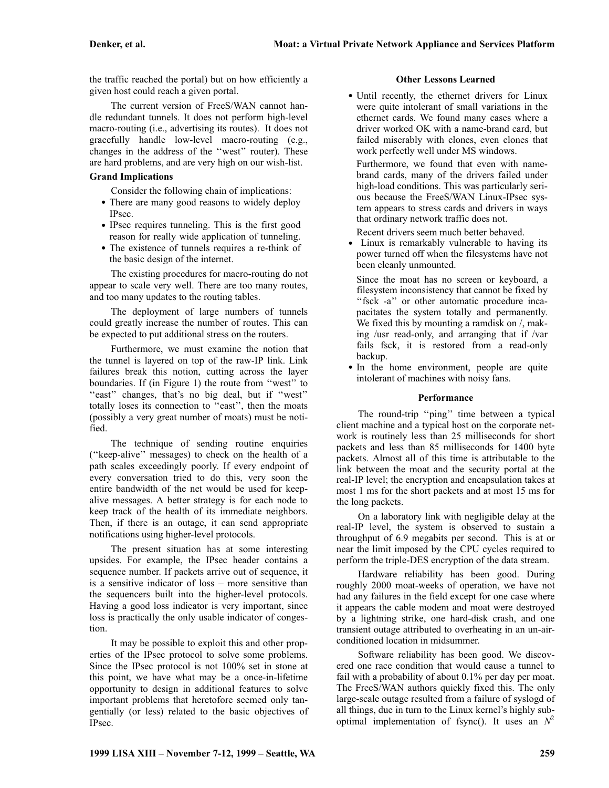the traffic reached the portal) but on how efficiently a given host could reach a given portal.

The current version of FreeS/WAN cannot handle redundant tunnels. It does not perform high-level macro-routing (i.e., advertising its routes). It does not gracefully handle low-level macro-routing (e.g., changes in the address of the ''west'' router). These are hard problems, and are very high on our wish-list.

# **Grand Implications**

Consider the following chain of implications:

- There are many good reasons to widely deploy IPsec.
- IPsec requires tunneling. This is the first good reason for really wide application of tunneling.
- The existence of tunnels requires a re-think of the basic design of the internet.

The existing procedures for macro-routing do not appear to scale very well. There are too many routes, and too many updates to the routing tables.

The deployment of large numbers of tunnels could greatly increase the number of routes. This can be expected to put additional stress on the routers.

Furthermore, we must examine the notion that the tunnel is layered on top of the raw-IP link. Link failures break this notion, cutting across the layer boundaries. If (in Figure 1) the route from ''west'' to "east" changes, that's no big deal, but if "west" totally loses its connection to ''east'', then the moats (possibly a very great number of moats) must be notified.

The technique of sending routine enquiries (''keep-alive'' messages) to check on the health of a path scales exceedingly poorly. If every endpoint of every conversation tried to do this, very soon the entire bandwidth of the net would be used for keepalive messages. A better strategy is for each node to keep track of the health of its immediate neighbors. Then, if there is an outage, it can send appropriate notifications using higher-level protocols.

The present situation has at some interesting upsides. For example, the IPsec header contains a sequence number. If packets arrive out of sequence, it is a sensitive indicator of loss – more sensitive than the sequencers built into the higher-level protocols. Having a good loss indicator is very important, since loss is practically the only usable indicator of congestion.

It may be possible to exploit this and other properties of the IPsec protocol to solve some problems. Since the IPsec protocol is not 100% set in stone at this point, we have what may be a once-in-lifetime opportunity to design in additional features to solve important problems that heretofore seemed only tangentially (or less) related to the basic objectives of IPsec.

## **Other Lessons Learned**

• Until recently, the ethernet drivers for Linux were quite intolerant of small variations in the ethernet cards. We found many cases where a driver worked OK with a name-brand card, but failed miserably with clones, even clones that work perfectly well under MS windows.

Furthermore, we found that even with namebrand cards, many of the drivers failed under high-load conditions. This was particularly serious because the FreeS/WAN Linux-IPsec system appears to stress cards and drivers in ways that ordinary network traffic does not.

Recent drivers seem much better behaved.

• Linux is remarkably vulnerable to having its power turned off when the filesystems have not been cleanly unmounted.

Since the moat has no screen or keyboard, a filesystem inconsistency that cannot be fixed by "fsck -a" or other automatic procedure incapacitates the system totally and permanently. We fixed this by mounting a ramdisk on  $/$ , making /usr read-only, and arranging that if /var fails fsck, it is restored from a read-only backup.

• In the home environment, people are quite intolerant of machines with noisy fans.

## **Performance**

The round-trip "ping" time between a typical client machine and a typical host on the corporate network is routinely less than 25 milliseconds for short packets and less than 85 milliseconds for 1400 byte packets. Almost all of this time is attributable to the link between the moat and the security portal at the real-IP level; the encryption and encapsulation takes at most 1 ms for the short packets and at most 15 ms for the long packets.

On a laboratory link with negligible delay at the real-IP level, the system is observed to sustain a throughput of 6.9 megabits per second. This is at or near the limit imposed by the CPU cycles required to perform the triple-DES encryption of the data stream.

Hardware reliability has been good. During roughly 2000 moat-weeks of operation, we have not had any failures in the field except for one case where it appears the cable modem and moat were destroyed by a lightning strike, one hard-disk crash, and one transient outage attributed to overheating in an un-airconditioned location in midsummer.

Software reliability has been good. We discovered one race condition that would cause a tunnel to fail with a probability of about 0.1% per day per moat. The FreeS/WAN authors quickly fixed this. The only large-scale outage resulted from a failure of syslogd of all things, due in turn to the Linux kernel's highly suboptimal implementation of fsync(). It uses an  $N^2$